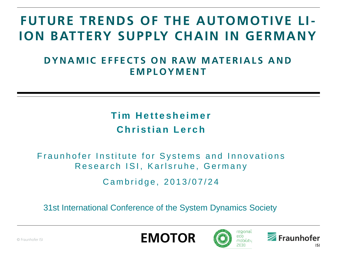# **FUTURE TRENDS OF THE AUTOMOTIVE LI-ION BATTERY SUPPLY CHAIN IN GERMANY**

### **DYNAMIC EFFECTS ON RAW MATERIALS AND E M P L O Y M E N T**

## **Tim Hettesheimer Christian Lerch**

#### Fraunhofer Institute for Systems and Innovations Research ISI, Karlsruhe, Germany

Cambridge, 2013/07/24

31st International Conference of the System Dynamics Society





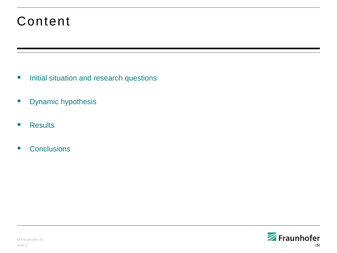## Content

- **Initial situation and research questions**
- **Dynamic hypothesis**
- **Results**
- Conclusions

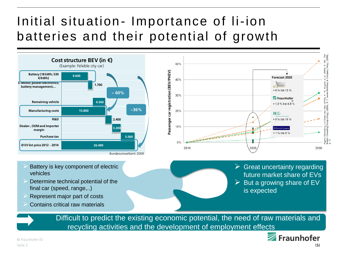# Initial situation- Importance of li-ion batteries and their potential of growth





- Battery is key component of electric vehicles
- Determine technical potential of the final car (speed, range,..)
- Represent major part of costs
- Contains critical raw materials

 $\triangleright$  Great uncertainty regarding future market share of EVs  $\triangleright$  But a growing share of EV is expected

Difficult to predict the existing economic potential, the need of raw materials and recycling activities and the development of employment effects



© Fraunhofer ISI Seite 3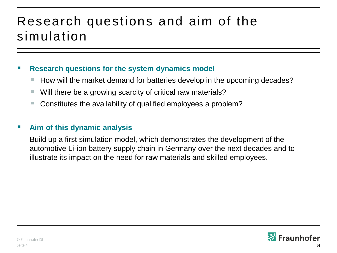## Research questions and aim of the simulation

#### **Research questions for the system dynamics model**

- How will the market demand for batteries develop in the upcoming decades?
- Will there be a growing scarcity of critical raw materials?
- Constitutes the availability of qualified employees a problem?

#### **Aim of this dynamic analysis**

Build up a first simulation model, which demonstrates the development of the automotive Li-ion battery supply chain in Germany over the next decades and to illustrate its impact on the need for raw materials and skilled employees.

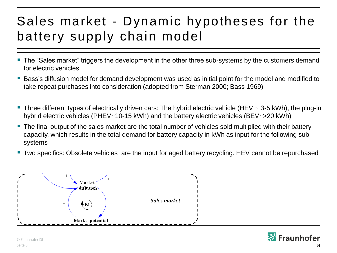# Sales market - Dynamic hypotheses for the battery supply chain model

- The "Sales market" triggers the development in the other three sub-systems by the customers demand for electric vehicles
- Bass's diffusion model for demand development was used as initial point for the model and modified to take repeat purchases into consideration (adopted from Sterman 2000; Bass 1969)
- Three different types of electrically driven cars: The hybrid electric vehicle (HEV  $\sim$  3-5 kWh), the plug-in hybrid electric vehicles (PHEV~10-15 kWh) and the battery electric vehicles (BEV~>20 kWh)
- The final output of the sales market are the total number of vehicles sold multiplied with their battery capacity, which results in the total demand for battery capacity in kWh as input for the following subsystems
- Two specifics: Obsolete vehicles are the input for aged battery recycling. HEV cannot be repurchased



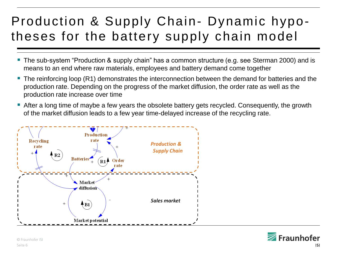# Production & Supply Chain- Dynamic hypotheses for the battery supply chain model

- The sub-system "Production & supply chain" has a common structure (e.g. see Sterman 2000) and is means to an end where raw materials, employees and battery demand come together
- The reinforcing loop (R1) demonstrates the interconnection between the demand for batteries and the production rate. Depending on the progress of the market diffusion, the order rate as well as the production rate increase over time
- After a long time of maybe a few years the obsolete battery gets recycled. Consequently, the growth of the market diffusion leads to a few year time-delayed increase of the recycling rate.



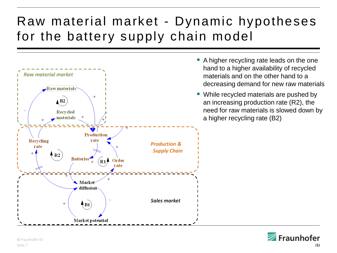# Raw material market - Dynamic hypotheses for the battery supply chain model



- A higher recycling rate leads on the one hand to a higher availability of recycled materials and on the other hand to a decreasing demand for new raw materials
- While recycled materials are pushed by an increasing production rate (R2), the need for raw materials is slowed down by a higher recycling rate (B2)

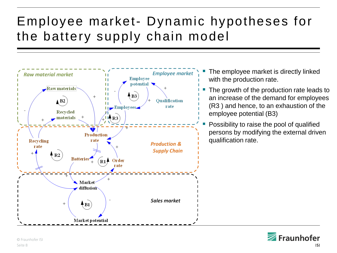# Employee market- Dynamic hypotheses for the battery supply chain model



- The employee market is directly linked with the production rate.
- The growth of the production rate leads to an increase of the demand for employees (R3 ) and hence, to an exhaustion of the employee potential (B3)
- Possibility to raise the pool of qualified persons by modifying the external driven qualification rate.

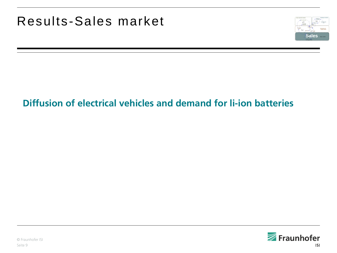

## **Diffusion of electrical vehicles and demand for li-ion batteries**

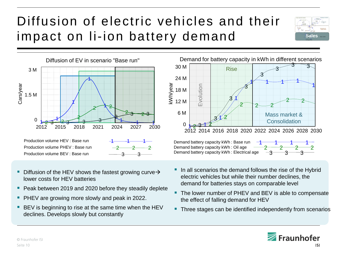# Diffusion of electric vehicles and their impact on li-ion battery demand





- Diffusion of the HEV shows the fastest growing curve  $\rightarrow$ lower costs for HEV batteries
- Peak between 2019 and 2020 before they steadily deplete
- PHEV are growing more slowly and peak in 2022.
- BEV is beginning to rise at the same time when the HEV declines. Develops slowly but constantly



Demand battery capacity kWh: Base run Demand battery capacity kWh : Oil age  $\frac{2}{3}$ <br>Demand battery capacity kWh : Electrical age  $\frac{-3}{3}$ 



- In all scenarios the demand follows the rise of the Hybrid electric vehicles but while their number declines, the demand for batteries stays on comparable level
- The lower number of PHEV and BEV is able to compensate the effect of falling demand for HEV
- **Three stages can be identified independently from scenarios**

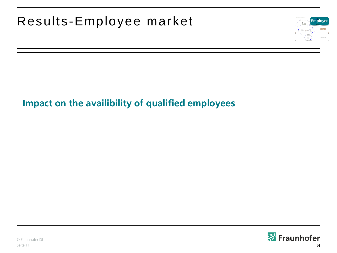## Results-Employee market **Employee**



## **Impact on the availibility of qualified employees**

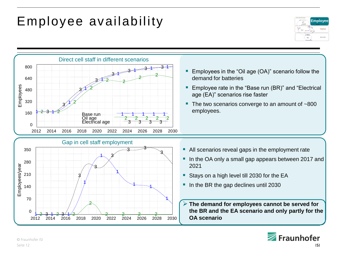## Employee availability





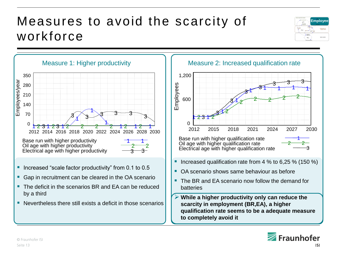## Measures to avoid the scarcity of workforce







- batteries
- **While a higher productivity only can reduce the scarcity in employment (BR,EA), a higher qualification rate seems to be a adequate measure to completely avoid it**

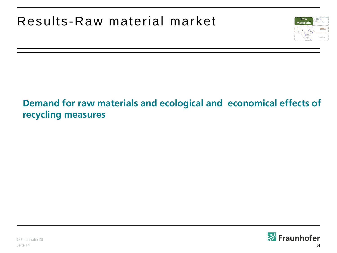

## **Demand for raw materials and ecological and economical effects of recycling measures**

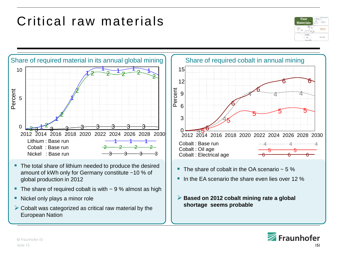## Critical raw materials





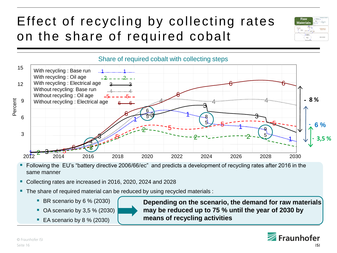# Effect of recycling by collecting rates on the share of required cobalt



- Following the EU's "battery directive 2006/66/ec" and predicts a development of recycling rates after 2016 in the same manner
- Collecting rates are increased in 2016, 2020, 2024 and 2028
- **The share of required material can be reduced by using recycled materials :** 
	- $\blacksquare$  BR scenario by 6 % (2030)
	- $\blacksquare$  OA scenario by 3,5 % (2030)
	- $\blacksquare$  EA scenario by 8 % (2030)

**Depending on the scenario, the demand for raw materials may be reduced up to 75 % until the year of 2030 by means of recycling activities** 



**Raw Materials**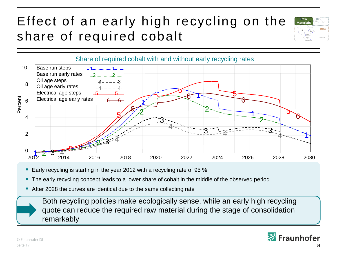# Effect of an early high recycling on the share of required cobalt





- Early recycling is starting in the year 2012 with a recycling rate of 95  $%$
- The early recycling concept leads to a lower share of cobalt in the middle of the observed period
- After 2028 the curves are identical due to the same collecting rate

Both recycling policies make ecologically sense, while an early high recycling quote can reduce the required raw material during the stage of consolidation remarkably

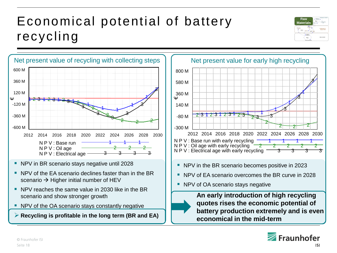# Economical potential of battery recycling





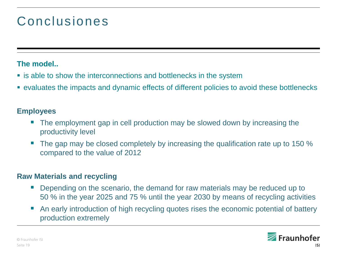## Conclusiones

#### **The model..**

- **Example to show the interconnections and bottlenecks in the system**
- evaluates the impacts and dynamic effects of different policies to avoid these bottlenecks

#### **Employees**

- The employment gap in cell production may be slowed down by increasing the productivity level
- The gap may be closed completely by increasing the qualification rate up to 150 % compared to the value of 2012

#### **Raw Materials and recycling**

- Depending on the scenario, the demand for raw materials may be reduced up to 50 % in the year 2025 and 75 % until the year 2030 by means of recycling activities
- An early introduction of high recycling quotes rises the economic potential of battery production extremely